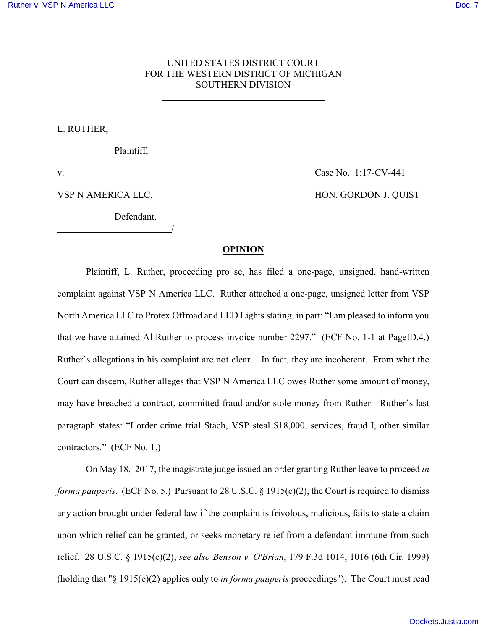## UNITED STATES DISTRICT COURT FOR THE WESTERN DISTRICT OF MICHIGAN SOUTHERN DIVISION

L. RUTHER,

Plaintiff,

l

/

Defendant.

## v. Case No. 1:17-CV-441

VSP N AMERICA LLC, HON. GORDON J. QUIST

## **OPINION**

Plaintiff, L. Ruther, proceeding pro se, has filed a one-page, unsigned, hand-written complaint against VSP N America LLC. Ruther attached a one-page, unsigned letter from VSP North America LLC to Protex Offroad and LED Lights stating, in part: "I am pleased to inform you that we have attained Al Ruther to process invoice number 2297." (ECF No. 1-1 at PageID.4.) Ruther's allegations in his complaint are not clear. In fact, they are incoherent. From what the Court can discern, Ruther alleges that VSP N America LLC owes Ruther some amount of money, may have breached a contract, committed fraud and/or stole money from Ruther. Ruther's last paragraph states: "I order crime trial Stach, VSP steal \$18,000, services, fraud I, other similar contractors." (ECF No. 1.)

On May 18, 2017, the magistrate judge issued an order granting Ruther leave to proceed *in forma pauperis.* (ECF No. 5.) Pursuant to 28 U.S.C. § 1915(e)(2), the Court is required to dismiss any action brought under federal law if the complaint is frivolous, malicious, fails to state a claim upon which relief can be granted, or seeks monetary relief from a defendant immune from such relief. 28 U.S.C. § 1915(e)(2); *see also Benson v. O'Brian*, 179 F.3d 1014, 1016 (6th Cir. 1999) (holding that "§ 1915(e)(2) applies only to *in forma pauperis* proceedings"). The Court must read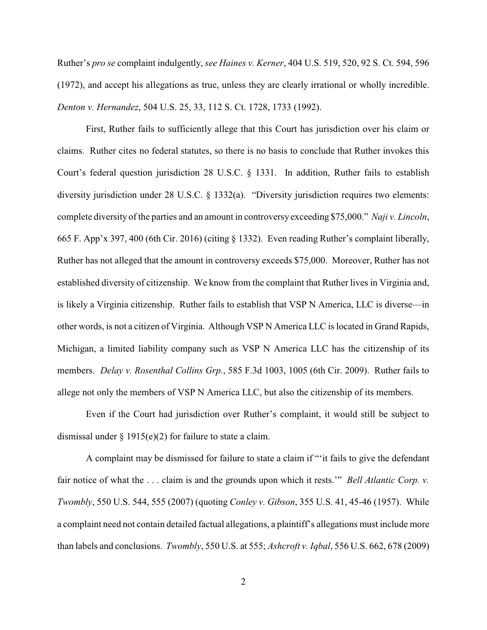Ruther's *pro se* complaint indulgently, *see Haines v. Kerner*, 404 U.S. 519, 520, 92 S. Ct. 594, 596 (1972), and accept his allegations as true, unless they are clearly irrational or wholly incredible. *Denton v. Hernandez*, 504 U.S. 25, 33, 112 S. Ct. 1728, 1733 (1992).

First, Ruther fails to sufficiently allege that this Court has jurisdiction over his claim or claims. Ruther cites no federal statutes, so there is no basis to conclude that Ruther invokes this Court's federal question jurisdiction 28 U.S.C. § 1331. In addition, Ruther fails to establish diversity jurisdiction under 28 U.S.C. § 1332(a). "Diversity jurisdiction requires two elements: complete diversity of the parties and an amount in controversy exceeding \$75,000." *Naji v. Lincoln*, 665 F. App'x 397, 400 (6th Cir. 2016) (citing § 1332). Even reading Ruther's complaint liberally, Ruther has not alleged that the amount in controversy exceeds \$75,000. Moreover, Ruther has not established diversity of citizenship. We know from the complaint that Ruther lives in Virginia and, is likely a Virginia citizenship. Ruther fails to establish that VSP N America, LLC is diverse—in other words, is not a citizen of Virginia. Although VSP N America LLC is located in Grand Rapids, Michigan, a limited liability company such as VSP N America LLC has the citizenship of its members. *Delay v. Rosenthal Collins Grp.*, 585 F.3d 1003, 1005 (6th Cir. 2009). Ruther fails to allege not only the members of VSP N America LLC, but also the citizenship of its members.

Even if the Court had jurisdiction over Ruther's complaint, it would still be subject to dismissal under  $\S 1915(e)(2)$  for failure to state a claim.

A complaint may be dismissed for failure to state a claim if "'it fails to give the defendant fair notice of what the . . . claim is and the grounds upon which it rests.'" *Bell Atlantic Corp. v. Twombly*, 550 U.S. 544, 555 (2007) (quoting *Conley v. Gibson*, 355 U.S. 41, 45-46 (1957). While a complaint need not contain detailed factual allegations, a plaintiff's allegations must include more than labels and conclusions. *Twombly*, 550 U.S. at 555; *Ashcroft v. Iqbal*, 556 U.S. 662, 678 (2009)